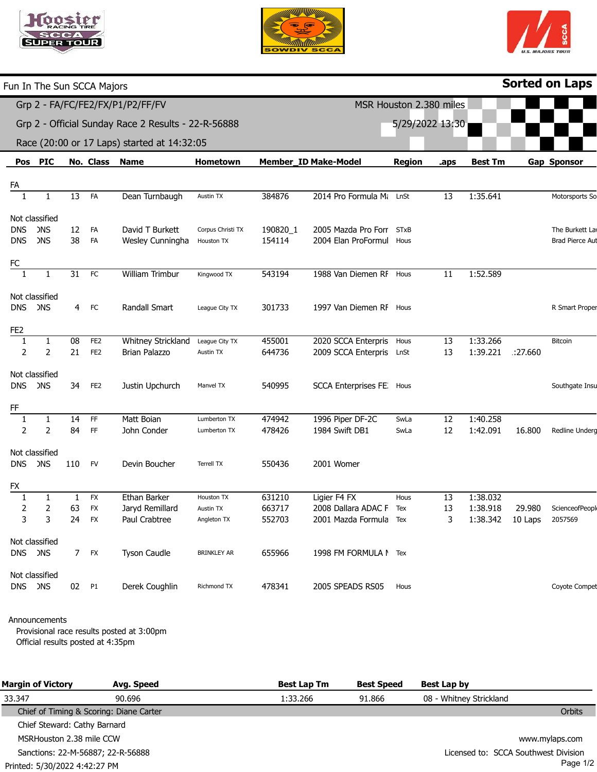





|                                             | Fun In The Sun SCCA Majors                          |                 |                                                                                                     |                        |                   |          |                                  |                         |      |                  |         | <b>Sorted on Laps</b>  |
|---------------------------------------------|-----------------------------------------------------|-----------------|-----------------------------------------------------------------------------------------------------|------------------------|-------------------|----------|----------------------------------|-------------------------|------|------------------|---------|------------------------|
| Grp 2 - FA/FC/FE2/FX/P1/P2/FF/FV            |                                                     |                 |                                                                                                     |                        |                   |          |                                  | MSR Houston 2.380 miles |      |                  |         |                        |
|                                             | Grp 2 - Official Sunday Race 2 Results - 22-R-56888 |                 |                                                                                                     |                        | 5/29/2022 13:30   |          |                                  |                         |      |                  |         |                        |
| Race (20:00 or 17 Laps) started at 14:32:05 |                                                     |                 |                                                                                                     |                        |                   |          |                                  |                         |      |                  |         |                        |
| Pos                                         | <b>PIC</b>                                          |                 | No. Class                                                                                           | <b>Name</b>            | Hometown          |          | <b>Member_ID Make-Model</b>      | <b>Region</b>           | .aps | <b>Best Tm</b>   |         | <b>Gap Sponsor</b>     |
| FA                                          |                                                     |                 |                                                                                                     |                        |                   |          |                                  |                         |      |                  |         |                        |
| $\mathbf{1}$                                | $\mathbf{1}$                                        | 13              | FA                                                                                                  | Dean Turnbaugh         | Austin TX         | 384876   | 2014 Pro Formula Mi LnSt         |                         | 13   | 1:35.641         |         | Motorsports So         |
|                                             | Not classified                                      |                 |                                                                                                     |                        |                   |          |                                  |                         |      |                  |         |                        |
| <b>DNS</b>                                  | <b>DNS</b>                                          | 12              | FA                                                                                                  | David T Burkett        | Corpus Christi TX | 190820_1 | 2005 Mazda Pro Forr STxB         |                         |      |                  |         | The Burkett La         |
| <b>DNS</b>                                  | <b>DNS</b>                                          | 38              | FA                                                                                                  | Wesley Cunningha       | Houston TX        | 154114   | 2004 Elan ProFormul              | Hous                    |      |                  |         | <b>Brad Pierce Aut</b> |
| $\underline{FC}$                            |                                                     |                 |                                                                                                     |                        |                   |          |                                  |                         |      |                  |         |                        |
|                                             | $\mathbf{1}$                                        | $\overline{31}$ | FC                                                                                                  | <b>William Trimbur</b> | Kingwood TX       | 543194   | 1988 Van Diemen RF Hous          |                         | 11   | 1:52.589         |         |                        |
| Not classified                              |                                                     |                 |                                                                                                     |                        |                   |          |                                  |                         |      |                  |         |                        |
| <b>DNS</b>                                  | <b>DNS</b>                                          | 4 <sup>1</sup>  | FC                                                                                                  | Randall Smart          | League City TX    | 301733   | 1997 Van Diemen RF Hous          |                         |      |                  |         | R Smart Proper         |
| FE <sub>2</sub>                             |                                                     |                 |                                                                                                     |                        |                   |          |                                  |                         |      |                  |         |                        |
| 1                                           | $\mathbf{1}$                                        | 08              | FE <sub>2</sub>                                                                                     | Whitney Strickland     | League City TX    | 455001   | 2020 SCCA Enterpris              | Hous                    | 13   | 1:33.266         |         | <b>Bitcoin</b>         |
| $\overline{2}$                              | $\overline{2}$                                      | 21              | FE <sub>2</sub>                                                                                     | Brian Palazzo          | Austin TX         | 644736   | 2009 SCCA Enterpris LnSt         |                         | 13   | 1:39.221         | :27.660 |                        |
| Not classified                              |                                                     |                 |                                                                                                     |                        |                   |          |                                  |                         |      |                  |         |                        |
| <b>DNS</b>                                  | <b>DNS</b>                                          | 34              | FE <sub>2</sub>                                                                                     | Justin Upchurch        | Manvel TX         | 540995   | <b>SCCA Enterprises FE.</b> Hous |                         |      |                  |         | Southgate Insu         |
| FF                                          |                                                     |                 |                                                                                                     |                        |                   |          |                                  |                         |      |                  |         |                        |
| 1                                           | $\mathbf{1}$                                        | 14              | $\mathsf{FF}% _{0}\left( \mathcal{F}_{0}\right) \equiv\mathsf{FF}_{0}\left( \mathcal{F}_{0}\right)$ | Matt Boian             | Lumberton TX      | 474942   | 1996 Piper DF-2C                 | SwLa                    | 12   | 1:40.258         |         |                        |
| $\overline{2}$                              | $\overline{2}$                                      | 84              | FF                                                                                                  | John Conder            | Lumberton TX      | 478426   | 1984 Swift DB1                   | SwLa                    | 12   | 1:42.091         | 16.800  | Redline Underg         |
|                                             | Not classified                                      |                 |                                                                                                     |                        |                   |          |                                  |                         |      |                  |         |                        |
| <b>DNS</b>                                  | <b>DNS</b>                                          | 110             | <b>FV</b>                                                                                           | Devin Boucher          | Terrell TX        | 550436   | 2001 Womer                       |                         |      |                  |         |                        |
| FX                                          |                                                     |                 |                                                                                                     |                        |                   |          |                                  |                         |      |                  |         |                        |
|                                             | 1                                                   | $\mathbf{1}$    | <b>FX</b>                                                                                           | <b>Ethan Barker</b>    | Houston TX        | 631210   | Ligier F4 FX                     | Hous                    | 13   | 1:38.032         |         |                        |
| $\overline{2}$                              | $\overline{2}$                                      | 63              | <b>FX</b>                                                                                           | Jaryd Remillard        | Austin TX         | 663717   | 2008 Dallara ADAC F              | Tex                     | 13   | 1:38.918         | 29.980  | ScienceofPeopl         |
| 3                                           | 3                                                   | 24              | <b>FX</b>                                                                                           | Paul Crabtree          | Angleton TX       | 552703   | 2001 Mazda Formula Tex           |                         | 3    | 1:38.342 10 Laps |         | 2057569                |
| Not classified                              |                                                     |                 |                                                                                                     |                        |                   |          |                                  |                         |      |                  |         |                        |
|                                             | DNS DNS                                             |                 | 7 FX                                                                                                | <b>Tyson Caudle</b>    | BRINKLEY AR       | 655966   | 1998 FM FORMULA I Tex            |                         |      |                  |         |                        |
|                                             | Not classified                                      |                 |                                                                                                     |                        |                   |          |                                  |                         |      |                  |         |                        |
|                                             | DNS DNS                                             |                 | 02 P1                                                                                               | Derek Coughlin         | Richmond TX       | 478341   | 2005 SPEADS RS05                 | Hous                    |      |                  |         | Coyote Compet          |
|                                             |                                                     |                 |                                                                                                     |                        |                   |          |                                  |                         |      |                  |         |                        |

## Announcements

Provisional race results posted at 3:00pm

Official results posted at 4:35pm

| <b>Margin of Victory</b>          | Avg. Speed                              | <b>Best Lap Tm</b> | <b>Best Speed</b> | Best Lap by                          |               |  |
|-----------------------------------|-----------------------------------------|--------------------|-------------------|--------------------------------------|---------------|--|
| 33.347                            | 90.696                                  | 1:33.266           | 91.866            | 08 - Whitney Strickland              |               |  |
|                                   | Chief of Timing & Scoring: Diane Carter |                    |                   |                                      | <b>Orbits</b> |  |
| Chief Steward: Cathy Barnard      |                                         |                    |                   |                                      |               |  |
| MSRHouston 2.38 mile CCW          |                                         |                    |                   | www.mylaps.com                       |               |  |
| Sanctions: 22-M-56887; 22-R-56888 |                                         |                    |                   | Licensed to: SCCA Southwest Division |               |  |
| Printed: 5/30/2022 4:42:27 PM     |                                         |                    |                   |                                      | Page 1/2      |  |